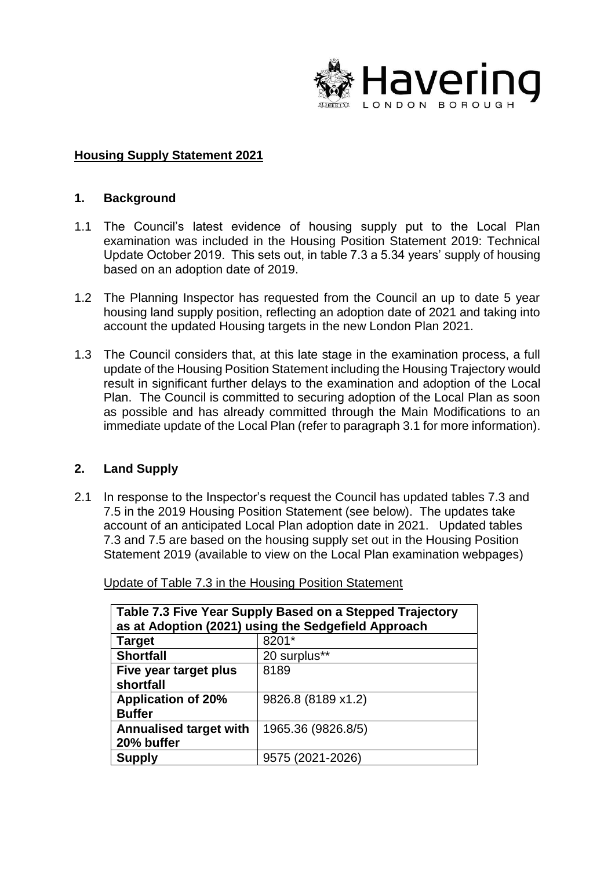

## **Housing Supply Statement 2021**

## **1. Background**

- 1.1 The Council's latest evidence of housing supply put to the Local Plan examination was included in the Housing Position Statement 2019: Technical Update October 2019. This sets out, in table 7.3 a 5.34 years' supply of housing based on an adoption date of 2019.
- 1.2 The Planning Inspector has requested from the Council an up to date 5 year housing land supply position, reflecting an adoption date of 2021 and taking into account the updated Housing targets in the new London Plan 2021.
- 1.3 The Council considers that, at this late stage in the examination process, a full update of the Housing Position Statement including the Housing Trajectory would result in significant further delays to the examination and adoption of the Local Plan. The Council is committed to securing adoption of the Local Plan as soon as possible and has already committed through the Main Modifications to an immediate update of the Local Plan (refer to paragraph 3.1 for more information).

## **2. Land Supply**

2.1 In response to the Inspector's request the Council has updated tables 7.3 and 7.5 in the 2019 Housing Position Statement (see below). The updates take account of an anticipated Local Plan adoption date in 2021. Updated tables 7.3 and 7.5 are based on the housing supply set out in the Housing Position Statement 2019 (available to view on the Local Plan examination webpages)

| Table 7.3 Five Year Supply Based on a Stepped Trajectory |                    |  |
|----------------------------------------------------------|--------------------|--|
| as at Adoption (2021) using the Sedgefield Approach      |                    |  |
| <b>Target</b>                                            | 8201*              |  |
| <b>Shortfall</b>                                         | 20 surplus**       |  |
| Five year target plus                                    | 8189               |  |
| shortfall                                                |                    |  |
| <b>Application of 20%</b>                                | 9826.8 (8189 x1.2) |  |
| <b>Buffer</b>                                            |                    |  |
| <b>Annualised target with</b>                            | 1965.36 (9826.8/5) |  |
| 20% buffer                                               |                    |  |
| <b>Supply</b>                                            | 9575 (2021-2026)   |  |

Update of Table 7.3 in the Housing Position Statement